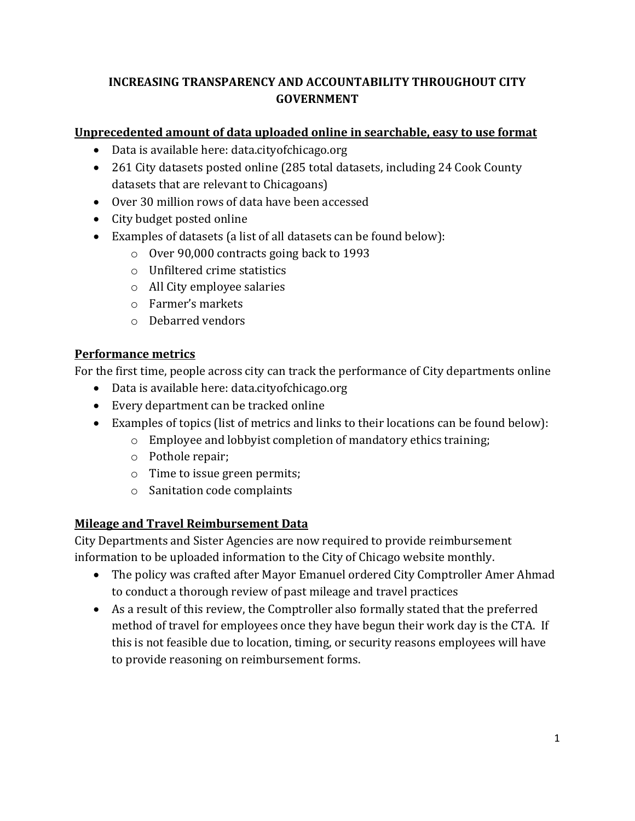## **INCREASING TRANSPARENCY AND ACCOUNTABILITY THROUGHOUT CITY GOVERNMENT**

## **Unprecedented amount of data uploaded online in searchable, easy to use format**

- Data is available here: data.cityofchicago.org
- 261 City datasets posted online (285 total datasets, including 24 Cook County datasets that are relevant to Chicagoans)
- Over 30 million rows of data have been accessed
- City budget posted online
- Examples of datasets (a list of all datasets can be found below):
	- o Over 90,000 contracts going back to 1993
	- o Unfiltered crime statistics
	- o All City employee salaries
	- o Farmer's markets
	- o Debarred vendors

## **Performance metrics**

For the first time, people across city can track the performance of City departments online

- Data is available here: data.cityofchicago.org
- Every department can be tracked online
- Examples of topics (list of metrics and links to their locations can be found below):
	- o Employee and lobbyist completion of mandatory ethics training;
	- o Pothole repair;
	- o Time to issue green permits;
	- o Sanitation code complaints

# **Mileage and Travel Reimbursement Data**

City Departments and Sister Agencies are now required to provide reimbursement information to be uploaded information to the City of Chicago website monthly.

- The policy was crafted after Mayor Emanuel ordered City Comptroller Amer Ahmad to conduct a thorough review of past mileage and travel practices
- As a result of this review, the Comptroller also formally stated that the preferred method of travel for employees once they have begun their work day is the CTA. If this is not feasible due to location, timing, or security reasons employees will have to provide reasoning on reimbursement forms.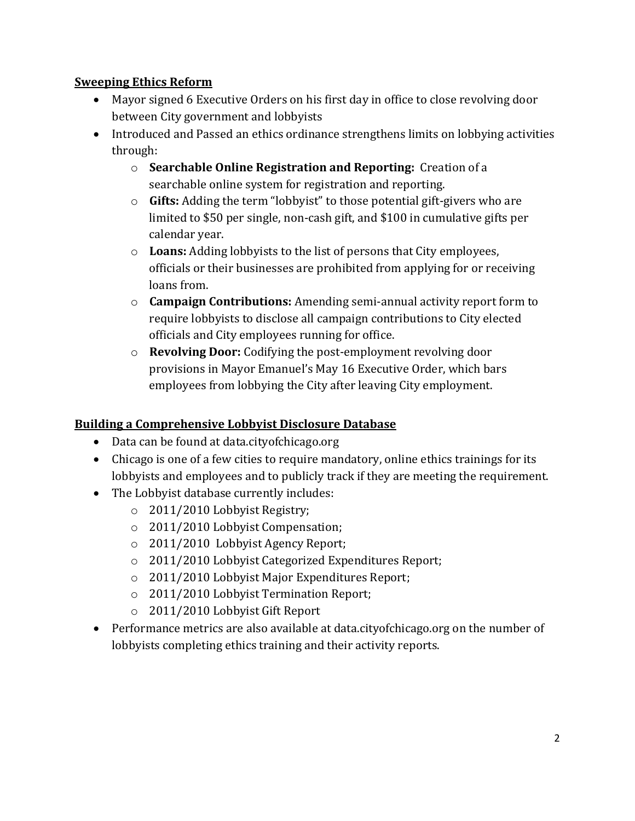#### **Sweeping Ethics Reform**

- Mayor signed 6 Executive Orders on his first day in office to close revolving door between City government and lobbyists
- Introduced and Passed an ethics ordinance strengthens limits on lobbying activities through:
	- o **Searchable Online Registration and Reporting:** Creation of a searchable online system for registration and reporting.
	- o **Gifts:** Adding the term "lobbyist" to those potential gift-givers who are limited to \$50 per single, non-cash gift, and \$100 in cumulative gifts per calendar year.
	- o **Loans:** Adding lobbyists to the list of persons that City employees, officials or their businesses are prohibited from applying for or receiving loans from.
	- o **Campaign Contributions:** Amending semi-annual activity report form to require lobbyists to disclose all campaign contributions to City elected officials and City employees running for office.
	- o **Revolving Door:** Codifying the post-employment revolving door provisions in Mayor Emanuel's May 16 Executive Order, which bars employees from lobbying the City after leaving City employment.

#### **Building a Comprehensive Lobbyist Disclosure Database**

- Data can be found at data.city of chicago.org
- Chicago is one of a few cities to require mandatory, online ethics trainings for its lobbyists and employees and to publicly track if they are meeting the requirement.
- The Lobbyist database currently includes:
	- o 2011/2010 Lobbyist Registry;
	- o 2011/2010 Lobbyist Compensation;
	- o 2011/2010 Lobbyist Agency Report;
	- o 2011/2010 Lobbyist Categorized Expenditures Report;
	- o 2011/2010 Lobbyist Major Expenditures Report;
	- o 2011/2010 Lobbyist Termination Report;
	- o 2011/2010 Lobbyist Gift Report
- Performance metrics are also available at data.cityofchicago.org on the number of lobbyists completing ethics training and their activity reports.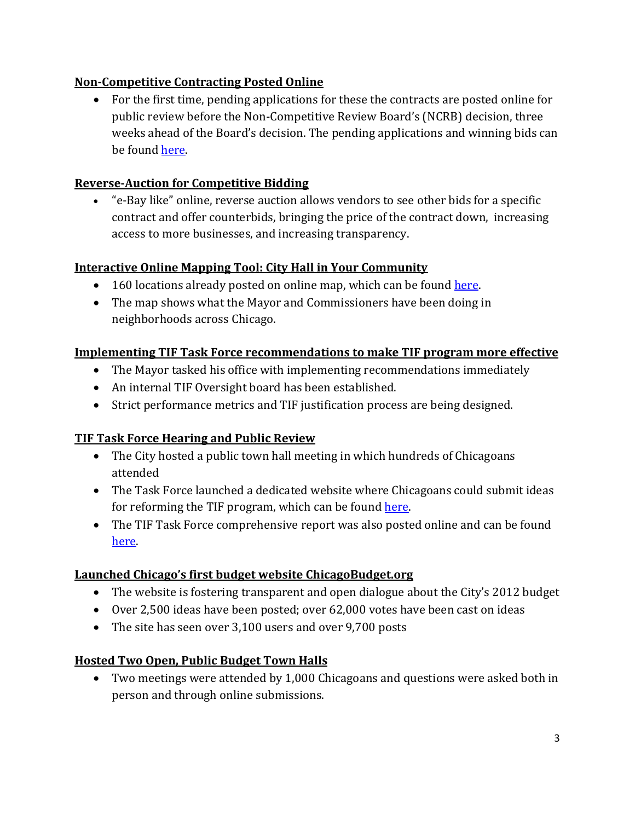### **Non-Competitive Contracting Posted Online**

 For the first time, pending applications for these the contracts are posted online for public review before the Non-Competitive Review Board's (NCRB) decision, three weeks ahead of the Board's decision. The pending applications and winning bids can be foun[d here.](http://www.cityofchicago.org/content/city/en/depts/dps/supp_info/2011_non-competitiveprocurements.html)

### **Reverse-Auction for Competitive Bidding**

 "e-Bay like" online, reverse auction allows vendors to see other bids for a specific contract and offer counterbids, bringing the price of the contract down, increasing access to more businesses, and increasing transparency.

### **Interactive Online Mapping Tool: City Hall in Your Community**

- 160 locations already posted on online map, which can be found [here.](http://www.cityofchicago.org/city/en/depts/mayor/iframe/cityhallinyourcommunity.html)
- The map shows what the Mayor and Commissioners have been doing in neighborhoods across Chicago.

### **Implementing TIF Task Force recommendations to make TIF program more effective**

- The Mayor tasked his office with implementing recommendations immediately
- An internal TIF Oversight board has been established.
- Strict performance metrics and TIF justification process are being designed.

## **TIF Task Force Hearing and Public Review**

- The City hosted a public town hall meeting in which hundreds of Chicagoans attended
- The Task Force launched a dedicated website where Chicagoans could submit ideas for reforming the TIF program, which can be found [here.](https://webapps.cityofchicago.org/TIFForumWeb/forums/list.page)
- The TIF Task Force comprehensive report was also posted online and can be found [here.](http://www.cityofchicago.org/content/dam/city/depts/mayor/Press%20Room/Press%20Releases/2011/August/8.29.11TIFReport.pdf)

#### **Launched Chicago's first budget website ChicagoBudget.org**

- The website is fostering transparent and open dialogue about the City's 2012 budget
- Over 2,500 ideas have been posted; over 62,000 votes have been cast on ideas
- The site has seen over 3,100 users and over 9,700 posts

#### **Hosted Two Open, Public Budget Town Halls**

 Two meetings were attended by 1,000 Chicagoans and questions were asked both in person and through online submissions.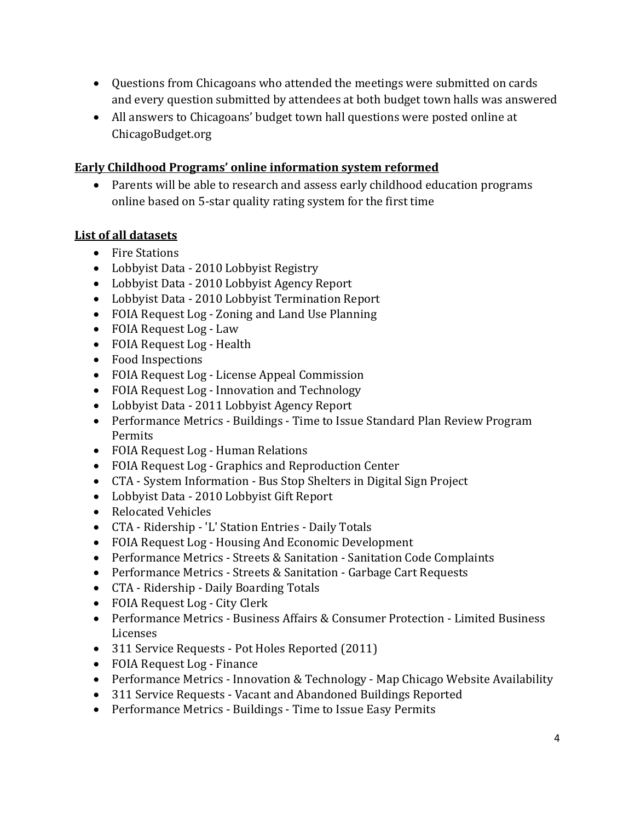- Questions from Chicagoans who attended the meetings were submitted on cards and every question submitted by attendees at both budget town halls was answered
- All answers to Chicagoans' budget town hall questions were posted online at ChicagoBudget.org

### **Early Childhood Programs' online information system reformed**

• Parents will be able to research and assess early childhood education programs online based on 5-star quality rating system for the first time

### **List of all datasets**

- Fire Stations
- Lobbyist Data 2010 Lobbyist Registry
- Lobbyist Data 2010 Lobbyist Agency Report
- Lobbyist Data 2010 Lobbyist Termination Report
- FOIA Request Log Zoning and Land Use Planning
- FOIA Request Log Law
- FOIA Request Log Health
- Food Inspections
- FOIA Request Log License Appeal Commission
- FOIA Request Log Innovation and Technology
- Lobbyist Data 2011 Lobbyist Agency Report
- Performance Metrics Buildings Time to Issue Standard Plan Review Program Permits
- FOIA Request Log Human Relations
- FOIA Request Log Graphics and Reproduction Center
- CTA System Information Bus Stop Shelters in Digital Sign Project
- Lobbyist Data 2010 Lobbyist Gift Report
- Relocated Vehicles
- CTA Ridership 'L' Station Entries Daily Totals
- FOIA Request Log Housing And Economic Development
- Performance Metrics Streets & Sanitation Sanitation Code Complaints
- Performance Metrics Streets & Sanitation Garbage Cart Requests
- CTA Ridership Daily Boarding Totals
- FOIA Request Log City Clerk
- Performance Metrics Business Affairs & Consumer Protection Limited Business Licenses
- 311 Service Requests Pot Holes Reported (2011)
- FOIA Request Log Finance
- Performance Metrics Innovation & Technology Map Chicago Website Availability
- 311 Service Requests Vacant and Abandoned Buildings Reported
- Performance Metrics Buildings Time to Issue Easy Permits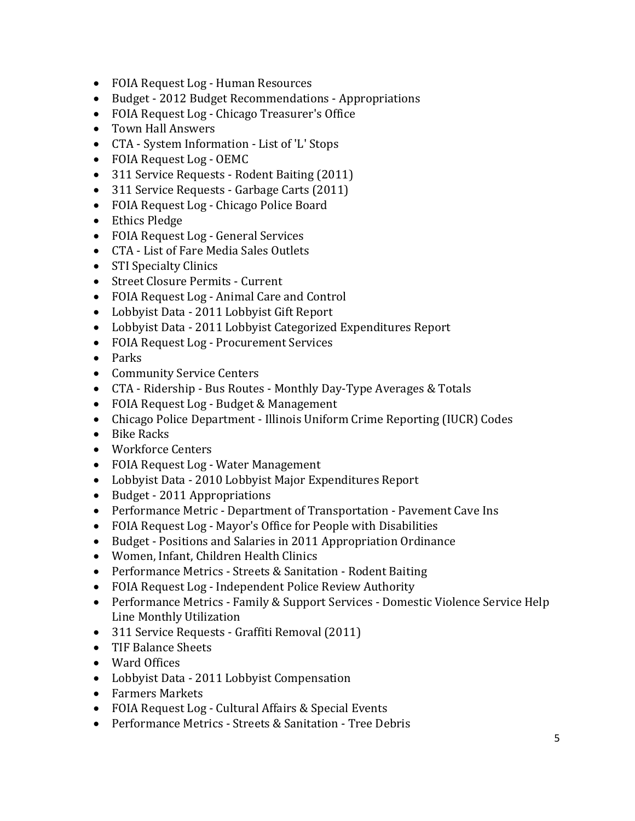- FOIA Request Log Human Resources
- Budget 2012 Budget Recommendations Appropriations
- FOIA Request Log Chicago Treasurer's Office
- Town Hall Answers
- CTA System Information List of 'L' Stops
- FOIA Request Log OEMC
- 311 Service Requests Rodent Baiting (2011)
- 311 Service Requests Garbage Carts (2011)
- FOIA Request Log Chicago Police Board
- Ethics Pledge
- FOIA Request Log General Services
- CTA List of Fare Media Sales Outlets
- STI Specialty Clinics
- Street Closure Permits Current
- FOIA Request Log Animal Care and Control
- Lobbyist Data 2011 Lobbyist Gift Report
- Lobbyist Data 2011 Lobbyist Categorized Expenditures Report
- FOIA Request Log Procurement Services
- Parks
- Community Service Centers
- CTA Ridership Bus Routes Monthly Day-Type Averages & Totals
- FOIA Request Log Budget & Management
- Chicago Police Department Illinois Uniform Crime Reporting (IUCR) Codes
- Bike Racks
- Workforce Centers
- FOIA Request Log Water Management
- Lobbyist Data 2010 Lobbyist Major Expenditures Report
- Budget 2011 Appropriations
- Performance Metric Department of Transportation Pavement Cave Ins
- FOIA Request Log Mayor's Office for People with Disabilities
- Budget Positions and Salaries in 2011 Appropriation Ordinance
- Women, Infant, Children Health Clinics
- Performance Metrics Streets & Sanitation Rodent Baiting
- FOIA Request Log Independent Police Review Authority
- Performance Metrics Family & Support Services Domestic Violence Service Help Line Monthly Utilization
- 311 Service Requests Graffiti Removal (2011)
- TIF Balance Sheets
- Ward Offices
- Lobbyist Data 2011 Lobbyist Compensation
- Farmers Markets
- FOIA Request Log Cultural Affairs & Special Events
- Performance Metrics Streets & Sanitation Tree Debris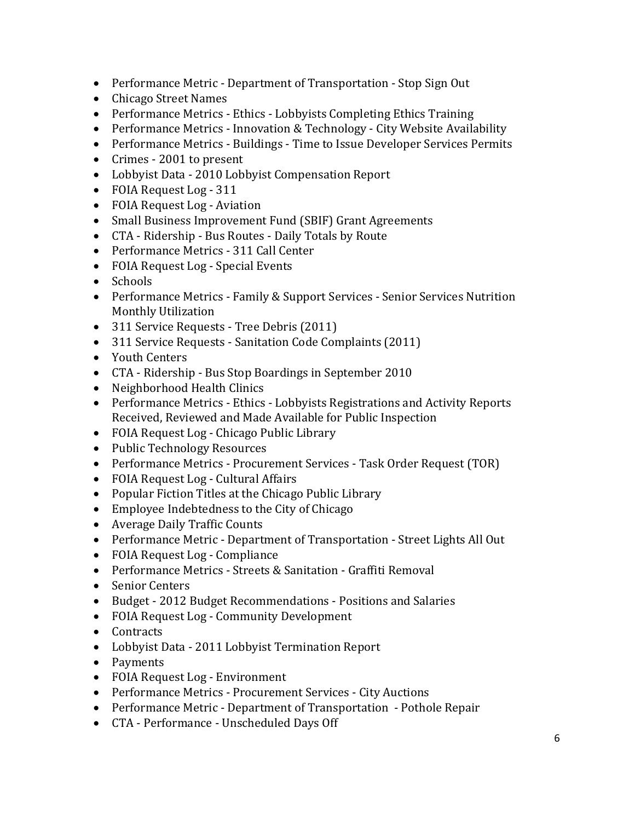- Performance Metric Department of Transportation Stop Sign Out
- Chicago Street Names
- Performance Metrics Ethics Lobbyists Completing Ethics Training
- Performance Metrics Innovation & Technology City Website Availability
- Performance Metrics Buildings Time to Issue Developer Services Permits
- Crimes 2001 to present
- Lobbyist Data 2010 Lobbyist Compensation Report
- FOIA Request Log 311
- FOIA Request Log Aviation
- Small Business Improvement Fund (SBIF) Grant Agreements
- CTA Ridership Bus Routes Daily Totals by Route
- Performance Metrics 311 Call Center
- FOIA Request Log Special Events
- Schools
- Performance Metrics Family & Support Services Senior Services Nutrition Monthly Utilization
- 311 Service Requests Tree Debris (2011)
- 311 Service Requests Sanitation Code Complaints (2011)
- Youth Centers
- CTA Ridership Bus Stop Boardings in September 2010
- Neighborhood Health Clinics
- Performance Metrics Ethics Lobbyists Registrations and Activity Reports Received, Reviewed and Made Available for Public Inspection
- FOIA Request Log Chicago Public Library
- Public Technology Resources
- Performance Metrics Procurement Services Task Order Request (TOR)
- FOIA Request Log Cultural Affairs
- Popular Fiction Titles at the Chicago Public Library
- Employee Indebtedness to the City of Chicago
- Average Daily Traffic Counts
- Performance Metric Department of Transportation Street Lights All Out
- FOIA Request Log Compliance
- Performance Metrics Streets & Sanitation Graffiti Removal
- Senior Centers
- Budget 2012 Budget Recommendations Positions and Salaries
- FOIA Request Log Community Development
- Contracts
- Lobbyist Data 2011 Lobbyist Termination Report
- Payments
- FOIA Request Log Environment
- Performance Metrics Procurement Services City Auctions
- Performance Metric Department of Transportation Pothole Repair
- CTA Performance Unscheduled Days Off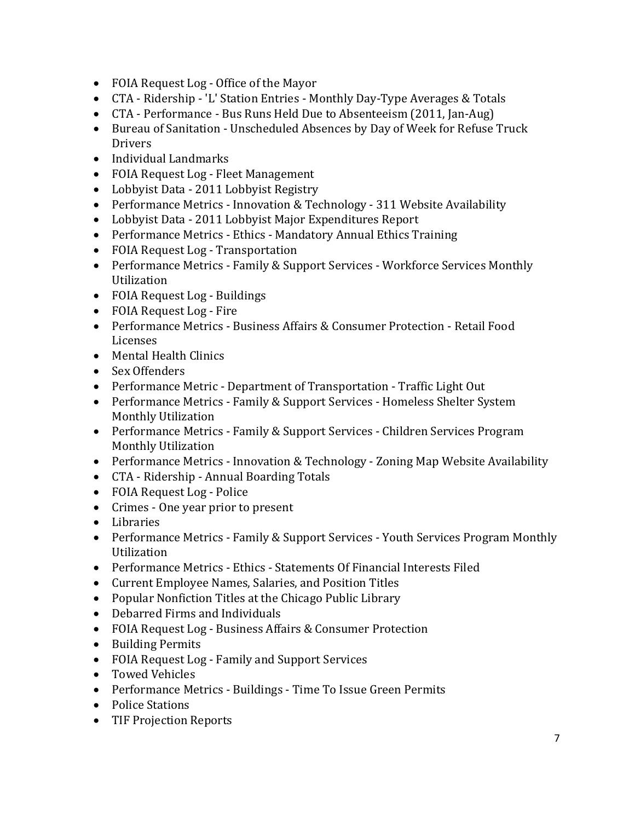- FOIA Request Log Office of the Mayor
- CTA Ridership 'L' Station Entries Monthly Day-Type Averages & Totals
- CTA Performance Bus Runs Held Due to Absenteeism (2011, Jan-Aug)
- Bureau of Sanitation Unscheduled Absences by Day of Week for Refuse Truck Drivers
- Individual Landmarks
- FOIA Request Log Fleet Management
- Lobbyist Data 2011 Lobbyist Registry
- Performance Metrics Innovation & Technology 311 Website Availability
- Lobbyist Data 2011 Lobbyist Major Expenditures Report
- Performance Metrics Ethics Mandatory Annual Ethics Training
- FOIA Request Log Transportation
- Performance Metrics Family & Support Services Workforce Services Monthly Utilization
- FOIA Request Log Buildings
- FOIA Request Log Fire
- Performance Metrics Business Affairs & Consumer Protection Retail Food Licenses
- Mental Health Clinics
- Sex Offenders
- Performance Metric Department of Transportation Traffic Light Out
- Performance Metrics Family & Support Services Homeless Shelter System Monthly Utilization
- Performance Metrics Family & Support Services Children Services Program Monthly Utilization
- Performance Metrics Innovation & Technology Zoning Map Website Availability
- CTA Ridership Annual Boarding Totals
- FOIA Request Log Police
- Crimes One year prior to present
- Libraries
- Performance Metrics Family & Support Services Youth Services Program Monthly Utilization
- Performance Metrics Ethics Statements Of Financial Interests Filed
- Current Employee Names, Salaries, and Position Titles
- Popular Nonfiction Titles at the Chicago Public Library
- Debarred Firms and Individuals
- FOIA Request Log Business Affairs & Consumer Protection
- Building Permits
- FOIA Request Log Family and Support Services
- Towed Vehicles
- Performance Metrics Buildings Time To Issue Green Permits
- Police Stations
- TIF Projection Reports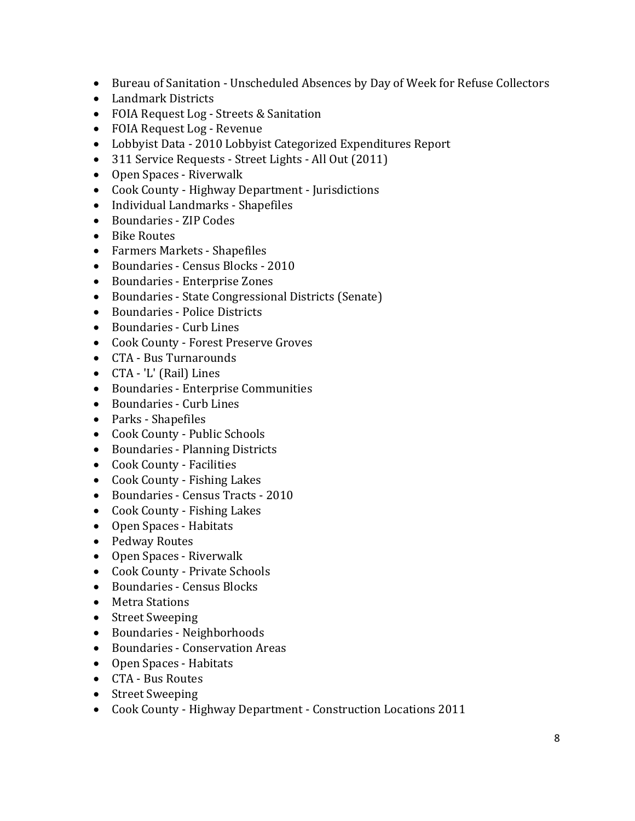- Bureau of Sanitation Unscheduled Absences by Day of Week for Refuse Collectors
- Landmark Districts
- FOIA Request Log Streets & Sanitation
- FOIA Request Log Revenue
- Lobbyist Data 2010 Lobbyist Categorized Expenditures Report
- 311 Service Requests Street Lights All Out (2011)
- Open Spaces Riverwalk
- Cook County Highway Department Jurisdictions
- Individual Landmarks Shapefiles
- Boundaries ZIP Codes
- Bike Routes
- Farmers Markets Shapefiles
- Boundaries Census Blocks 2010
- Boundaries Enterprise Zones
- Boundaries State Congressional Districts (Senate)
- Boundaries Police Districts
- Boundaries Curb Lines
- Cook County Forest Preserve Groves
- CTA Bus Turnarounds
- CTA 'L' (Rail) Lines
- Boundaries Enterprise Communities
- Boundaries Curb Lines
- Parks Shapefiles
- Cook County Public Schools
- Boundaries Planning Districts
- Cook County Facilities
- Cook County Fishing Lakes
- Boundaries Census Tracts 2010
- Cook County Fishing Lakes
- Open Spaces Habitats
- Pedway Routes
- Open Spaces Riverwalk
- Cook County Private Schools
- Boundaries Census Blocks
- Metra Stations
- Street Sweeping
- Boundaries Neighborhoods
- Boundaries Conservation Areas
- Open Spaces Habitats
- CTA Bus Routes
- Street Sweeping
- Cook County Highway Department Construction Locations 2011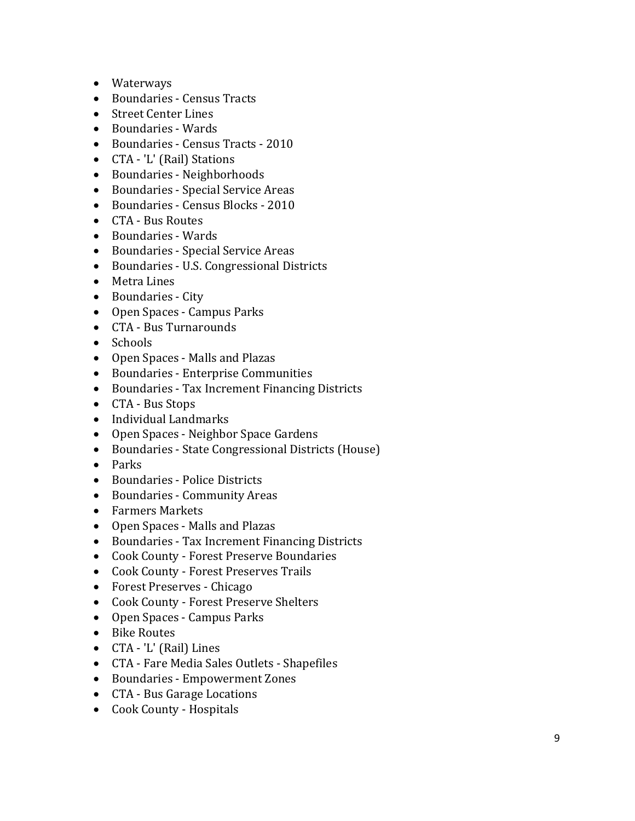- Waterways
- Boundaries Census Tracts
- Street Center Lines
- Boundaries Wards
- Boundaries Census Tracts 2010
- CTA 'L' (Rail) Stations
- Boundaries Neighborhoods
- Boundaries Special Service Areas
- Boundaries Census Blocks 2010
- CTA Bus Routes
- Boundaries Wards
- Boundaries Special Service Areas
- Boundaries U.S. Congressional Districts
- Metra Lines
- Boundaries City
- Open Spaces Campus Parks
- CTA Bus Turnarounds
- Schools
- Open Spaces Malls and Plazas
- Boundaries Enterprise Communities
- Boundaries Tax Increment Financing Districts
- CTA Bus Stops
- Individual Landmarks
- Open Spaces Neighbor Space Gardens
- Boundaries State Congressional Districts (House)
- Parks
- Boundaries Police Districts
- Boundaries Community Areas
- Farmers Markets
- Open Spaces Malls and Plazas
- Boundaries Tax Increment Financing Districts
- Cook County Forest Preserve Boundaries
- Cook County Forest Preserves Trails
- Forest Preserves Chicago
- Cook County Forest Preserve Shelters
- Open Spaces Campus Parks
- Bike Routes
- CTA 'L' (Rail) Lines
- CTA Fare Media Sales Outlets Shapefiles
- Boundaries Empowerment Zones
- CTA Bus Garage Locations
- Cook County Hospitals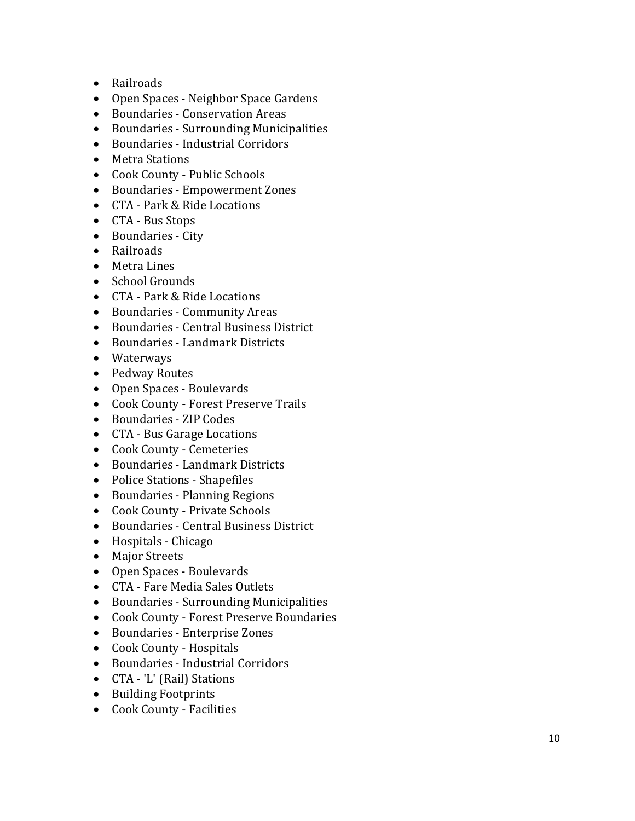- Railroads
- Open Spaces Neighbor Space Gardens
- Boundaries Conservation Areas
- Boundaries Surrounding Municipalities
- Boundaries Industrial Corridors
- Metra Stations
- Cook County Public Schools
- Boundaries Empowerment Zones
- CTA Park & Ride Locations
- CTA Bus Stops
- Boundaries City
- Railroads
- Metra Lines
- School Grounds
- CTA Park & Ride Locations
- Boundaries Community Areas
- Boundaries Central Business District
- Boundaries Landmark Districts
- Waterways
- Pedway Routes
- Open Spaces Boulevards
- Cook County Forest Preserve Trails
- Boundaries ZIP Codes
- CTA Bus Garage Locations
- Cook County Cemeteries
- Boundaries Landmark Districts
- Police Stations Shapefiles
- Boundaries Planning Regions
- Cook County Private Schools
- Boundaries Central Business District
- Hospitals Chicago
- Major Streets
- Open Spaces Boulevards
- CTA Fare Media Sales Outlets
- Boundaries Surrounding Municipalities
- Cook County Forest Preserve Boundaries
- Boundaries Enterprise Zones
- Cook County Hospitals
- Boundaries Industrial Corridors
- CTA 'L' (Rail) Stations
- Building Footprints
- Cook County Facilities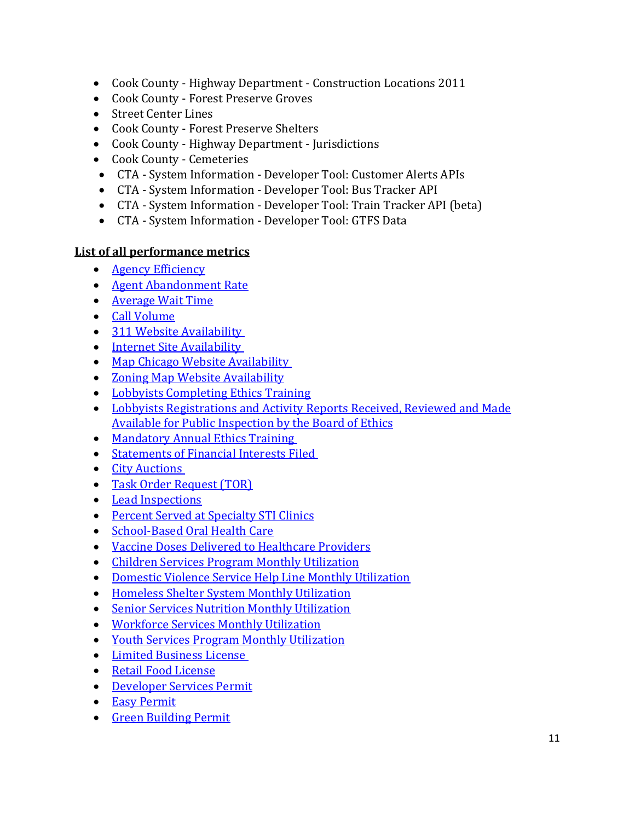- Cook County Highway Department Construction Locations 2011
- Cook County Forest Preserve Groves
- Street Center Lines
- Cook County Forest Preserve Shelters
- Cook County Highway Department Jurisdictions
- Cook County Cemeteries
- CTA System Information Developer Tool: Customer Alerts APIs
- CTA System Information Developer Tool: Bus Tracker API
- CTA System Information Developer Tool: Train Tracker API (beta)
- CTA System Information Developer Tool: GTFS Data

#### **List of all performance metrics**

- [Agency Efficiency](http://www.cityofchicago.org/content/city/en/narr/foia/key_performance_indicators0/311_call_center_benchmarks.html#efficiency)
- [Agent Abandonment Rate](http://www.cityofchicago.org/content/city/en/narr/foia/key_performance_indicators0/311_call_center_benchmarks.html#abandoned)
- [Average Wait Time](http://www.cityofchicago.org/content/city/en/narr/foia/key_performance_indicators0/311_call_center_benchmarks.html#wait)
- [Call Volume](http://www.cityofchicago.org/content/city/en/narr/foia/key_performance_indicators0/311_call_center_benchmarks.html#volume)
- [311 Website Availability](http://www.cityofchicago.org/content/city/en/narr/foia/key_performance_indicators0/administrative_metrics0.html#311)
- [Internet Site Availability](http://www.cityofchicago.org/content/city/en/narr/foia/key_performance_indicators0/administrative_metrics0.html#internet)
- [Map Chicago Website Availability](http://www.cityofchicago.org/content/city/en/narr/foia/key_performance_indicators0/administrative_metrics0.html#map)
- [Zoning Map Website Availability](http://www.cityofchicago.org/content/city/en/narr/foia/key_performance_indicators0/administrative_metrics0.html#zoning)
- [Lobbyists Completing Ethics Training](http://www.cityofchicago.org/content/city/en/narr/foia/key_performance_indicators0/ethics_metrics.html#training)
- [Lobbyists Registrations and Activity Reports Received, Reviewed and Made](http://www.cityofchicago.org/content/city/en/narr/foia/key_performance_indicators0/ethics_metrics.html#activity)  [Available for Public Inspection by the Board of Ethics](http://www.cityofchicago.org/content/city/en/narr/foia/key_performance_indicators0/ethics_metrics.html#activity)
- [Mandatory Annual Ethics Training](http://www.cityofchicago.org/content/city/en/narr/foia/key_performance_indicators0/ethics_metrics.html#annual)
- [Statements of Financial Interests Filed](http://www.cityofchicago.org/content/city/en/narr/foia/key_performance_indicators0/ethics_metrics.html#interests)
- [City Auctions](http://www.cityofchicago.org/content/city/en/narr/foia/key_performance_indicators0/finance_metrics.html#auction)
- [Task Order Request \(TOR\)](http://www.cityofchicago.org/content/city/en/narr/foia/key_performance_indicators0/finance_metrics.html#tor)
- [Lead Inspections](http://www.cityofchicago.org/content/city/en/narr/foia/key_performance_indicators0/health.html#lead)
- [Percent Served at Specialty STI Clinics](http://www.cityofchicago.org/content/city/en/narr/foia/key_performance_indicators0/health.html#sti)
- [School-Based Oral Health Care](http://www.cityofchicago.org/content/city/en/narr/foia/key_performance_indicators0/health.html#oral)
- [Vaccine Doses Delivered to Healthcare Providers](http://www.cityofchicago.org/content/city/en/narr/foia/key_performance_indicators0/health.html#vaccine)
- [Children Services Program Monthly Utilization](http://www.cityofchicago.org/content/city/en/narr/foia/key_performance_indicators0/human_services.html#child)
- [Domestic Violence Service Help Line Monthly Utilization](http://www.cityofchicago.org/content/city/en/narr/foia/key_performance_indicators0/human_services.html#domestic)
- [Homeless Shelter System Monthly Utilization](http://www.cityofchicago.org/content/city/en/narr/foia/key_performance_indicators0/human_services.html#homeless)
- [Senior Services Nutrition Monthly Utilization](http://www.cityofchicago.org/content/city/en/narr/foia/key_performance_indicators0/human_services.html#senior)
- [Workforce Services Monthly Utilization](http://www.cityofchicago.org/content/city/en/narr/foia/key_performance_indicators0/human_services.html#monthly)
- [Youth Services Program Monthly Utilization](http://www.cityofchicago.org/content/city/en/narr/foia/key_performance_indicators0/human_services.html#youth)
- [Limited Business License](http://www.cityofchicago.org/content/city/en/narr/foia/key_performance_indicators0/business_benchmarks.html#lbl)
- [Retail Food License](http://www.cityofchicago.org/content/city/en/narr/foia/key_performance_indicators0/business_benchmarks.html#rfl)
- [Developer Services Permit](http://www.cityofchicago.org/content/city/en/narr/foia/key_performance_indicators0/business_benchmarks.html#standard)
- [Easy Permit](http://www.cityofchicago.org/content/city/en/narr/foia/key_performance_indicators0/business_benchmarks.html#easy)
- [Green Building Permit](http://www.cityofchicago.org/content/city/en/narr/foia/key_performance_indicators0/business_benchmarks.html#green)